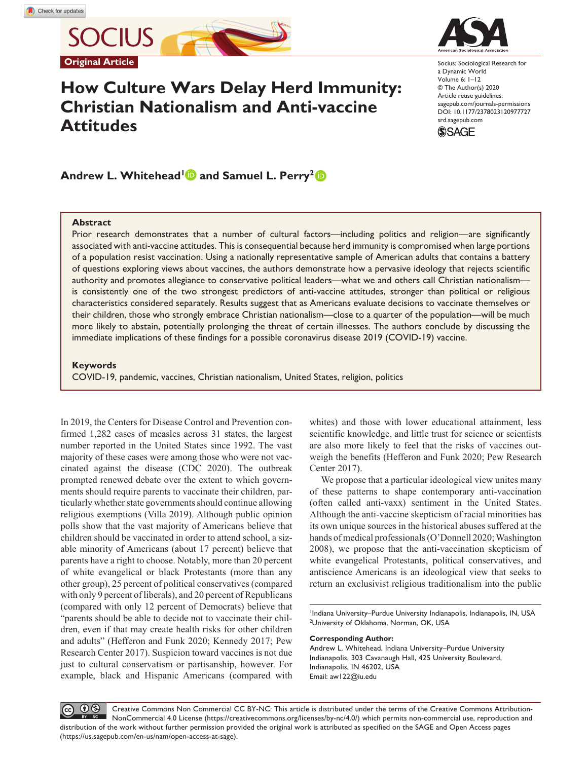**SOCIUS Original Article**

# **How Culture Wars Delay Herd Immunity: Christian Nationalism and Anti-vaccine Attitudes**



Socius: Sociological Research for a Dynamic World Volume 6: 1–12 © The Author(s) 2020 Article reuse guidelines: [sagepub.com/journals-permissions](https://us.sagepub.com/en-us/journals-permissions) https://doi.org/10.1177/2378023120977727 DOI: 10.1177/2378023120977727 [srd.sagepub.com](https://srd.sagepub.com) **SSAGE** 

Andrew L. Whitehead<sup>1</sup> and Samuel L. Perry<sup>2</sup>

#### **Abstract**

Prior research demonstrates that a number of cultural factors—including politics and religion—are significantly associated with anti-vaccine attitudes. This is consequential because herd immunity is compromised when large portions of a population resist vaccination. Using a nationally representative sample of American adults that contains a battery of questions exploring views about vaccines, the authors demonstrate how a pervasive ideology that rejects scientific authority and promotes allegiance to conservative political leaders—what we and others call Christian nationalism is consistently one of the two strongest predictors of anti-vaccine attitudes, stronger than political or religious characteristics considered separately. Results suggest that as Americans evaluate decisions to vaccinate themselves or their children, those who strongly embrace Christian nationalism—close to a quarter of the population—will be much more likely to abstain, potentially prolonging the threat of certain illnesses. The authors conclude by discussing the immediate implications of these findings for a possible coronavirus disease 2019 (COVID-19) vaccine.

## **Keywords**

COVID-19, pandemic, vaccines, Christian nationalism, United States, religion, politics

In 2019, the Centers for Disease Control and Prevention confirmed 1,282 cases of measles across 31 states, the largest number reported in the United States since 1992. The vast majority of these cases were among those who were not vaccinated against the disease (CDC 2020). The outbreak prompted renewed debate over the extent to which governments should require parents to vaccinate their children, particularly whether state governments should continue allowing religious exemptions (Villa 2019). Although public opinion polls show that the vast majority of Americans believe that children should be vaccinated in order to attend school, a sizable minority of Americans (about 17 percent) believe that parents have a right to choose. Notably, more than 20 percent of white evangelical or black Protestants (more than any other group), 25 percent of political conservatives (compared with only 9 percent of liberals), and 20 percent of Republicans (compared with only 12 percent of Democrats) believe that "parents should be able to decide not to vaccinate their children, even if that may create health risks for other children and adults" (Hefferon and Funk 2020; Kennedy 2017; Pew Research Center 2017). Suspicion toward vaccines is not due just to cultural conservatism or partisanship, however. For example, black and Hispanic Americans (compared with whites) and those with lower educational attainment, less scientific knowledge, and little trust for science or scientists are also more likely to feel that the risks of vaccines outweigh the benefits (Hefferon and Funk 2020; Pew Research Center 2017).

We propose that a particular ideological view unites many of these patterns to shape contemporary anti-vaccination (often called anti-vaxx) sentiment in the United States. Although the anti-vaccine skepticism of racial minorities has its own unique sources in the historical abuses suffered at the hands of medical professionals (O'Donnell 2020; Washington 2008), we propose that the anti-vaccination skepticism of white evangelical Protestants, political conservatives, and antiscience Americans is an ideological view that seeks to return an exclusivist religious traditionalism into the public

<sup>1</sup>Indiana University–Purdue University Indianapolis, Indianapolis, IN, USA 2 University of Oklahoma, Norman, OK, USA

#### **Corresponding Author:**

Andrew L. Whitehead, Indiana University–Purdue University Indianapolis, 303 Cavanaugh Hall, 425 University Boulevard, Indianapolis, IN 46202, USA Email: [aw122@iu.edu](mailto:aw122@iu.edu)

 $\odot$ Creative Commons Non Commercial CC BY-NC: This article is distributed under the terms of the Creative Commons Attribution-NonCommercial 4.0 License (https://creativecommons.org/licenses/by-nc/4.0/) which permits non-commercial use, reproduction and distribution of the work without further permission provided the original work is attributed as specified on the SAGE and Open Access pages (https://us.sagepub.com/en-us/nam/open-access-at-sage).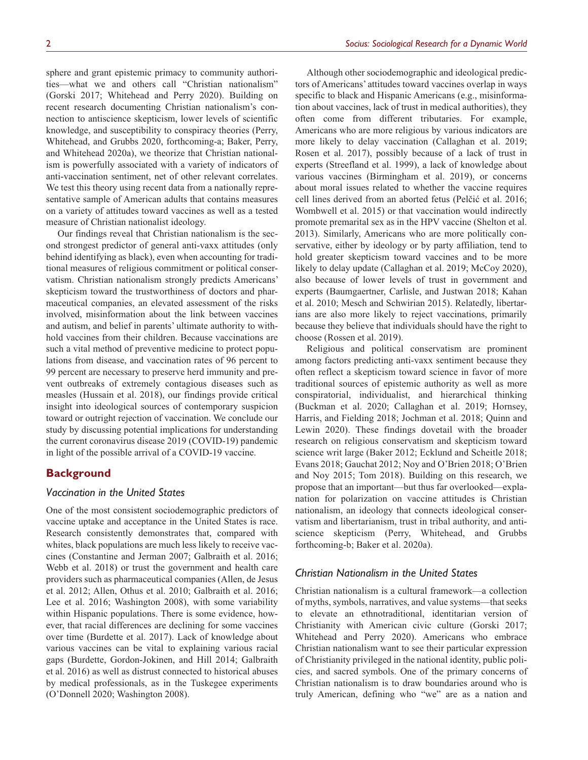sphere and grant epistemic primacy to community authorities—what we and others call "Christian nationalism" (Gorski 2017; Whitehead and Perry 2020). Building on recent research documenting Christian nationalism's connection to antiscience skepticism, lower levels of scientific knowledge, and susceptibility to conspiracy theories (Perry, Whitehead, and Grubbs 2020, forthcoming-a; Baker, Perry, and Whitehead 2020a), we theorize that Christian nationalism is powerfully associated with a variety of indicators of anti-vaccination sentiment, net of other relevant correlates. We test this theory using recent data from a nationally representative sample of American adults that contains measures on a variety of attitudes toward vaccines as well as a tested measure of Christian nationalist ideology.

Our findings reveal that Christian nationalism is the second strongest predictor of general anti-vaxx attitudes (only behind identifying as black), even when accounting for traditional measures of religious commitment or political conservatism. Christian nationalism strongly predicts Americans' skepticism toward the trustworthiness of doctors and pharmaceutical companies, an elevated assessment of the risks involved, misinformation about the link between vaccines and autism, and belief in parents' ultimate authority to withhold vaccines from their children. Because vaccinations are such a vital method of preventive medicine to protect populations from disease, and vaccination rates of 96 percent to 99 percent are necessary to preserve herd immunity and prevent outbreaks of extremely contagious diseases such as measles (Hussain et al. 2018), our findings provide critical insight into ideological sources of contemporary suspicion toward or outright rejection of vaccination. We conclude our study by discussing potential implications for understanding the current coronavirus disease 2019 (COVID-19) pandemic in light of the possible arrival of a COVID-19 vaccine.

## **Background**

## *Vaccination in the United States*

One of the most consistent sociodemographic predictors of vaccine uptake and acceptance in the United States is race. Research consistently demonstrates that, compared with whites, black populations are much less likely to receive vaccines (Constantine and Jerman 2007; Galbraith et al. 2016; Webb et al. 2018) or trust the government and health care providers such as pharmaceutical companies (Allen, de Jesus et al. 2012; Allen, Othus et al. 2010; Galbraith et al. 2016; Lee et al. 2016; Washington 2008), with some variability within Hispanic populations. There is some evidence, however, that racial differences are declining for some vaccines over time (Burdette et al. 2017). Lack of knowledge about various vaccines can be vital to explaining various racial gaps (Burdette, Gordon-Jokinen, and Hill 2014; Galbraith et al. 2016) as well as distrust connected to historical abuses by medical professionals, as in the Tuskegee experiments (O'Donnell 2020; Washington 2008).

Although other sociodemographic and ideological predictors of Americans' attitudes toward vaccines overlap in ways specific to black and Hispanic Americans (e.g., misinformation about vaccines, lack of trust in medical authorities), they often come from different tributaries. For example, Americans who are more religious by various indicators are more likely to delay vaccination (Callaghan et al. 2019; Rosen et al. 2017), possibly because of a lack of trust in experts (Streefland et al. 1999), a lack of knowledge about various vaccines (Birmingham et al. 2019), or concerns about moral issues related to whether the vaccine requires cell lines derived from an aborted fetus (Pelčić et al. 2016; Wombwell et al. 2015) or that vaccination would indirectly promote premarital sex as in the HPV vaccine (Shelton et al. 2013). Similarly, Americans who are more politically conservative, either by ideology or by party affiliation, tend to hold greater skepticism toward vaccines and to be more likely to delay update (Callaghan et al. 2019; McCoy 2020), also because of lower levels of trust in government and experts (Baumgaertner, Carlisle, and Justwan 2018; Kahan et al. 2010; Mesch and Schwirian 2015). Relatedly, libertarians are also more likely to reject vaccinations, primarily because they believe that individuals should have the right to choose (Rossen et al. 2019).

Religious and political conservatism are prominent among factors predicting anti-vaxx sentiment because they often reflect a skepticism toward science in favor of more traditional sources of epistemic authority as well as more conspiratorial, individualist, and hierarchical thinking (Buckman et al. 2020; Callaghan et al. 2019; Hornsey, Harris, and Fielding 2018; Jochman et al. 2018; Quinn and Lewin 2020). These findings dovetail with the broader research on religious conservatism and skepticism toward science writ large (Baker 2012; Ecklund and Scheitle 2018; Evans 2018; Gauchat 2012; Noy and O'Brien 2018; O'Brien and Noy 2015; Tom 2018). Building on this research, we propose that an important—but thus far overlooked—explanation for polarization on vaccine attitudes is Christian nationalism, an ideology that connects ideological conservatism and libertarianism, trust in tribal authority, and antiscience skepticism (Perry, Whitehead, and Grubbs forthcoming-b; Baker et al. 2020a).

## *Christian Nationalism in the United States*

Christian nationalism is a cultural framework—a collection of myths, symbols, narratives, and value systems—that seeks to elevate an ethnotraditional, identitarian version of Christianity with American civic culture (Gorski 2017; Whitehead and Perry 2020). Americans who embrace Christian nationalism want to see their particular expression of Christianity privileged in the national identity, public policies, and sacred symbols. One of the primary concerns of Christian nationalism is to draw boundaries around who is truly American, defining who "we" are as a nation and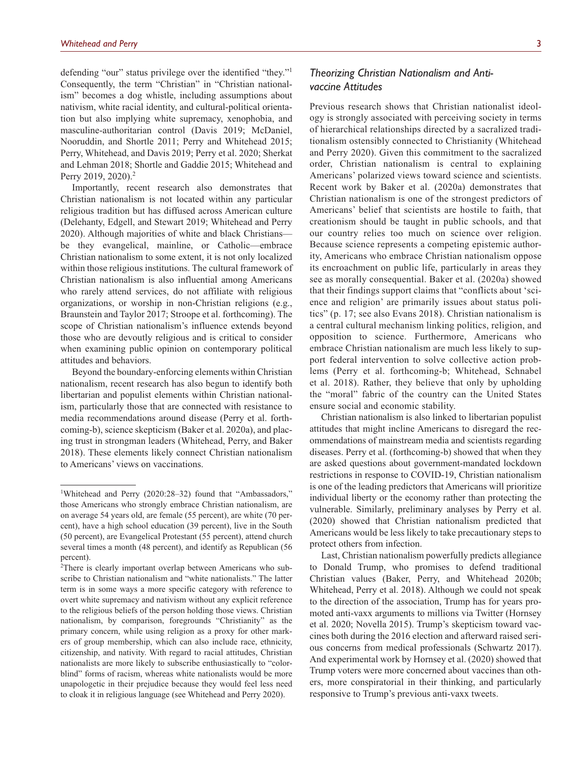defending "our" status privilege over the identified "they."<sup>1</sup> Consequently, the term "Christian" in "Christian nationalism" becomes a dog whistle, including assumptions about nativism, white racial identity, and cultural-political orientation but also implying white supremacy, xenophobia, and masculine-authoritarian control (Davis 2019; McDaniel, Nooruddin, and Shortle 2011; Perry and Whitehead 2015; Perry, Whitehead, and Davis 2019; Perry et al. 2020; Sherkat and Lehman 2018; Shortle and Gaddie 2015; Whitehead and Perry 2019, 2020).<sup>2</sup>

Importantly, recent research also demonstrates that Christian nationalism is not located within any particular religious tradition but has diffused across American culture (Delehanty, Edgell, and Stewart 2019; Whitehead and Perry 2020). Although majorities of white and black Christians be they evangelical, mainline, or Catholic—embrace Christian nationalism to some extent, it is not only localized within those religious institutions. The cultural framework of Christian nationalism is also influential among Americans who rarely attend services, do not affiliate with religious organizations, or worship in non-Christian religions (e.g., Braunstein and Taylor 2017; Stroope et al. forthcoming). The scope of Christian nationalism's influence extends beyond those who are devoutly religious and is critical to consider when examining public opinion on contemporary political attitudes and behaviors.

Beyond the boundary-enforcing elements within Christian nationalism, recent research has also begun to identify both libertarian and populist elements within Christian nationalism, particularly those that are connected with resistance to media recommendations around disease (Perry et al. forthcoming-b), science skepticism (Baker et al. 2020a), and placing trust in strongman leaders (Whitehead, Perry, and Baker 2018). These elements likely connect Christian nationalism to Americans' views on vaccinations.

# *Theorizing Christian Nationalism and Antivaccine Attitudes*

Previous research shows that Christian nationalist ideology is strongly associated with perceiving society in terms of hierarchical relationships directed by a sacralized traditionalism ostensibly connected to Christianity (Whitehead and Perry 2020). Given this commitment to the sacralized order, Christian nationalism is central to explaining Americans' polarized views toward science and scientists. Recent work by Baker et al. (2020a) demonstrates that Christian nationalism is one of the strongest predictors of Americans' belief that scientists are hostile to faith, that creationism should be taught in public schools, and that our country relies too much on science over religion. Because science represents a competing epistemic authority, Americans who embrace Christian nationalism oppose its encroachment on public life, particularly in areas they see as morally consequential. Baker et al. (2020a) showed that their findings support claims that "conflicts about 'science and religion' are primarily issues about status politics" (p. 17; see also Evans 2018). Christian nationalism is a central cultural mechanism linking politics, religion, and opposition to science. Furthermore, Americans who embrace Christian nationalism are much less likely to support federal intervention to solve collective action problems (Perry et al. forthcoming-b; Whitehead, Schnabel et al. 2018). Rather, they believe that only by upholding the "moral" fabric of the country can the United States ensure social and economic stability.

Christian nationalism is also linked to libertarian populist attitudes that might incline Americans to disregard the recommendations of mainstream media and scientists regarding diseases. Perry et al. (forthcoming-b) showed that when they are asked questions about government-mandated lockdown restrictions in response to COVID-19, Christian nationalism is one of the leading predictors that Americans will prioritize individual liberty or the economy rather than protecting the vulnerable. Similarly, preliminary analyses by Perry et al. (2020) showed that Christian nationalism predicted that Americans would be less likely to take precautionary steps to protect others from infection.

Last, Christian nationalism powerfully predicts allegiance to Donald Trump, who promises to defend traditional Christian values (Baker, Perry, and Whitehead 2020b; Whitehead, Perry et al. 2018). Although we could not speak to the direction of the association, Trump has for years promoted anti-vaxx arguments to millions via Twitter (Hornsey et al. 2020; Novella 2015). Trump's skepticism toward vaccines both during the 2016 election and afterward raised serious concerns from medical professionals (Schwartz 2017). And experimental work by Hornsey et al. (2020) showed that Trump voters were more concerned about vaccines than others, more conspiratorial in their thinking, and particularly responsive to Trump's previous anti-vaxx tweets.

<sup>&</sup>lt;sup>1</sup>Whitehead and Perry (2020:28-32) found that "Ambassadors," those Americans who strongly embrace Christian nationalism, are on average 54 years old, are female (55 percent), are white (70 percent), have a high school education (39 percent), live in the South (50 percent), are Evangelical Protestant (55 percent), attend church several times a month (48 percent), and identify as Republican (56 percent).

<sup>&</sup>lt;sup>2</sup>There is clearly important overlap between Americans who subscribe to Christian nationalism and "white nationalists." The latter term is in some ways a more specific category with reference to overt white supremacy and nativism without any explicit reference to the religious beliefs of the person holding those views. Christian nationalism, by comparison, foregrounds "Christianity" as the primary concern, while using religion as a proxy for other markers of group membership, which can also include race, ethnicity, citizenship, and nativity. With regard to racial attitudes, Christian nationalists are more likely to subscribe enthusiastically to "colorblind" forms of racism, whereas white nationalists would be more unapologetic in their prejudice because they would feel less need to cloak it in religious language (see Whitehead and Perry 2020).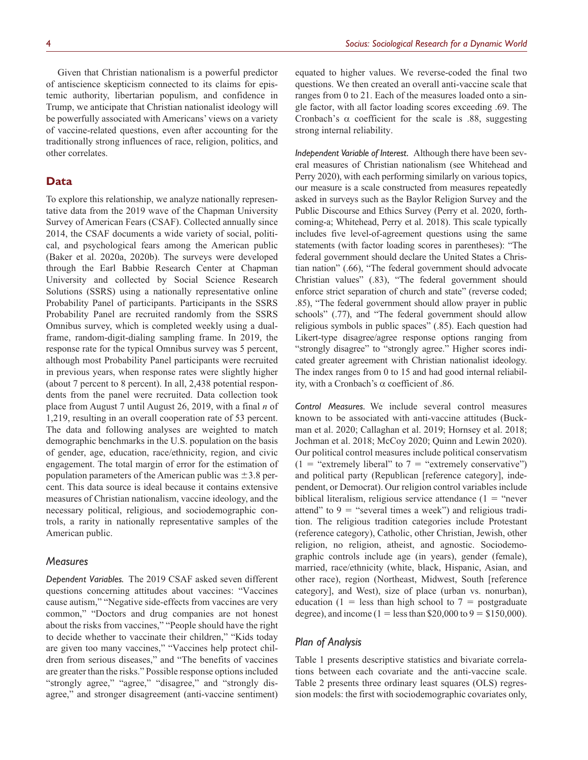Given that Christian nationalism is a powerful predictor of antiscience skepticism connected to its claims for epistemic authority, libertarian populism, and confidence in Trump, we anticipate that Christian nationalist ideology will be powerfully associated with Americans' views on a variety of vaccine-related questions, even after accounting for the traditionally strong influences of race, religion, politics, and other correlates.

## **Data**

To explore this relationship, we analyze nationally representative data from the 2019 wave of the Chapman University Survey of American Fears (CSAF). Collected annually since 2014, the CSAF documents a wide variety of social, political, and psychological fears among the American public (Baker et al. 2020a, 2020b). The surveys were developed through the Earl Babbie Research Center at Chapman University and collected by Social Science Research Solutions (SSRS) using a nationally representative online Probability Panel of participants. Participants in the SSRS Probability Panel are recruited randomly from the SSRS Omnibus survey, which is completed weekly using a dualframe, random-digit-dialing sampling frame. In 2019, the response rate for the typical Omnibus survey was 5 percent, although most Probability Panel participants were recruited in previous years, when response rates were slightly higher (about 7 percent to 8 percent). In all, 2,438 potential respondents from the panel were recruited. Data collection took place from August 7 until August 26, 2019, with a final *n* of 1,219, resulting in an overall cooperation rate of 53 percent. The data and following analyses are weighted to match demographic benchmarks in the U.S. population on the basis of gender, age, education, race/ethnicity, region, and civic engagement. The total margin of error for the estimation of population parameters of the American public was  $\pm$ 3.8 percent. This data source is ideal because it contains extensive measures of Christian nationalism, vaccine ideology, and the necessary political, religious, and sociodemographic controls, a rarity in nationally representative samples of the American public.

#### *Measures*

*Dependent Variables.* The 2019 CSAF asked seven different questions concerning attitudes about vaccines: "Vaccines cause autism," "Negative side-effects from vaccines are very common," "Doctors and drug companies are not honest about the risks from vaccines," "People should have the right to decide whether to vaccinate their children," "Kids today are given too many vaccines," "Vaccines help protect children from serious diseases," and "The benefits of vaccines are greater than the risks." Possible response options included "strongly agree," "agree," "disagree," and "strongly disagree," and stronger disagreement (anti-vaccine sentiment)

equated to higher values. We reverse-coded the final two questions. We then created an overall anti-vaccine scale that ranges from 0 to 21. Each of the measures loaded onto a single factor, with all factor loading scores exceeding .69. The Cronbach's  $\alpha$  coefficient for the scale is .88, suggesting strong internal reliability.

*Independent Variable of Interest.* Although there have been several measures of Christian nationalism (see Whitehead and Perry 2020), with each performing similarly on various topics, our measure is a scale constructed from measures repeatedly asked in surveys such as the Baylor Religion Survey and the Public Discourse and Ethics Survey (Perry et al. 2020, forthcoming-a; Whitehead, Perry et al. 2018). This scale typically includes five level-of-agreement questions using the same statements (with factor loading scores in parentheses): "The federal government should declare the United States a Christian nation" (.66), "The federal government should advocate Christian values" (.83), "The federal government should enforce strict separation of church and state" (reverse coded; .85), "The federal government should allow prayer in public schools" (.77), and "The federal government should allow religious symbols in public spaces" (.85). Each question had Likert-type disagree/agree response options ranging from "strongly disagree" to "strongly agree." Higher scores indicated greater agreement with Christian nationalist ideology. The index ranges from 0 to 15 and had good internal reliability, with a Cronbach's  $\alpha$  coefficient of .86.

*Control Measures.* We include several control measures known to be associated with anti-vaccine attitudes (Buckman et al. 2020; Callaghan et al. 2019; Hornsey et al. 2018; Jochman et al. 2018; McCoy 2020; Quinn and Lewin 2020). Our political control measures include political conservatism  $(1 = "extremely liberal" to 7 = "extremely conservative")$ and political party (Republican [reference category], independent, or Democrat). Our religion control variables include biblical literalism, religious service attendance  $(1 - \text{``never})$ attend" to  $9 =$  "several times a week") and religious tradition. The religious tradition categories include Protestant (reference category), Catholic, other Christian, Jewish, other religion, no religion, atheist, and agnostic. Sociodemographic controls include age (in years), gender (female), married, race/ethnicity (white, black, Hispanic, Asian, and other race), region (Northeast, Midwest, South [reference category], and West), size of place (urban vs. nonurban), education (1 = less than high school to  $7 =$  postgraduate degree), and income (1 = less than \$20,000 to 9 = \$150,000).

## *Plan of Analysis*

Table 1 presents descriptive statistics and bivariate correlations between each covariate and the anti-vaccine scale. Table 2 presents three ordinary least squares (OLS) regression models: the first with sociodemographic covariates only,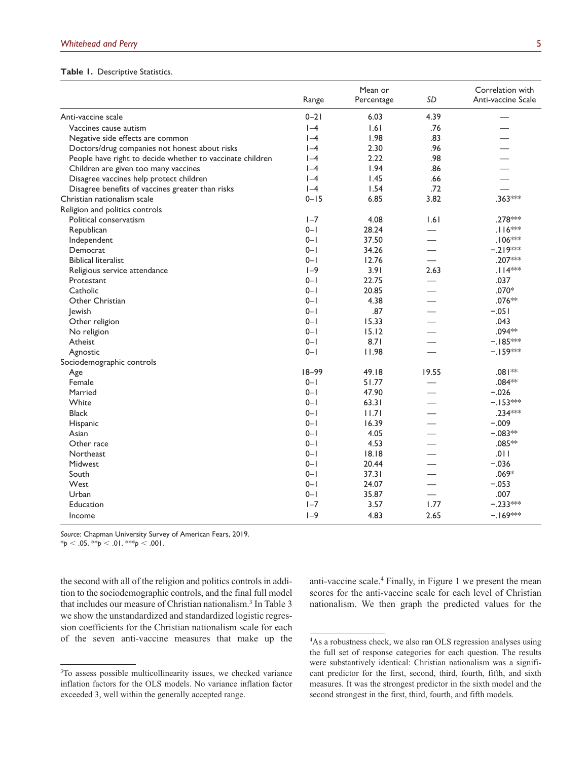#### **Table 1.** Descriptive Statistics.

|                                                           |           | Mean or    | Correlation with         |                    |  |
|-----------------------------------------------------------|-----------|------------|--------------------------|--------------------|--|
|                                                           | Range     | Percentage | SD                       | Anti-vaccine Scale |  |
| Anti-vaccine scale                                        | $0 - 21$  | 6.03       | 4.39                     |                    |  |
| Vaccines cause autism                                     | $ -4$     | 1.61       | .76                      |                    |  |
| Negative side effects are common                          | $I-4$     | 1.98       | .83                      |                    |  |
| Doctors/drug companies not honest about risks             | $I - 4$   | 2.30       | .96                      |                    |  |
| People have right to decide whether to vaccinate children | $ -4$     | 2.22       | .98                      |                    |  |
| Children are given too many vaccines                      | $I-4$     | 1.94       | .86                      |                    |  |
| Disagree vaccines help protect children                   | $I - 4$   | 1.45       | .66                      |                    |  |
| Disagree benefits of vaccines greater than risks          | $ -4$     | 1.54       | .72                      |                    |  |
| Christian nationalism scale                               | $0 - 15$  | 6.85       | 3.82                     | .363***            |  |
| Religion and politics controls                            |           |            |                          |                    |  |
| Political conservatism                                    | $I - 7$   | 4.08       | 1.61                     | .278 ***           |  |
| Republican                                                | $0 - 1$   | 28.24      |                          | $.116***$          |  |
| Independent                                               | $0 - 1$   | 37.50      |                          | $.106***$          |  |
| Democrat                                                  | $0 - 1$   | 34.26      |                          | $-.219***$         |  |
| <b>Biblical literalist</b>                                | $0 - 1$   | 12.76      |                          | .207***            |  |
| Religious service attendance                              | $I-9$     | 3.91       | 2.63                     | $.114***$          |  |
| Protestant                                                | $0 - 1$   | 22.75      |                          | .037               |  |
| Catholic                                                  | $0 - 1$   | 20.85      |                          | $.070*$            |  |
| Other Christian                                           | $0 - 1$   | 4.38       |                          | .076**             |  |
| <b>lewish</b>                                             | $0 - 1$   | .87        |                          | $-.051$            |  |
| Other religion                                            | $0 - 1$   | 15.33      |                          | .043               |  |
| No religion                                               | $0 - 1$   | 15.12      |                          | .094**             |  |
| Atheist                                                   | $0 - 1$   | 8.71       |                          | $-.185***$         |  |
| Agnostic                                                  | $0 - 1$   | 11.98      |                          | $-.159***$         |  |
| Sociodemographic controls                                 |           |            |                          |                    |  |
| Age                                                       | $18 - 99$ | 49.18      | 19.55                    | $*$   80.          |  |
| Female                                                    | $0 - 1$   | 51.77      |                          | .084**             |  |
| Married                                                   | $0 - 1$   | 47.90      |                          | $-.026$            |  |
| White                                                     | $0 - 1$   | 63.31      |                          | $-.153***$         |  |
| <b>Black</b>                                              | $0 - 1$   | 11.7       |                          | .234***            |  |
| Hispanic                                                  | $0 - 1$   | 16.39      |                          | $-.009$            |  |
| Asian                                                     | $0 - 1$   | 4.05       |                          | $-.083**$          |  |
| Other race                                                | $0 - 1$   | 4.53       |                          | .085 **            |  |
| Northeast                                                 | $0 - 1$   | 18.18      |                          | .011               |  |
| Midwest                                                   | $0 - 1$   | 20.44      |                          | $-.036$            |  |
| South                                                     | $0 - 1$   | 37.31      |                          | $.069*$            |  |
| West                                                      | $0 - 1$   | 24.07      |                          | $-.053$            |  |
| Urban                                                     | $0 - 1$   | 35.87      | $\overline{\phantom{0}}$ | .007               |  |
| Education                                                 | $I - 7$   | 3.57       | 1.77                     | $-.233***$         |  |
| Income                                                    | $I-9$     | 4.83       | 2.65                     | $-.169***$         |  |

*Source*: Chapman University Survey of American Fears, 2019.

 $*$ *p* < .05.  $*$ *kp* < .01.  $*$ *kkp* < .001.

the second with all of the religion and politics controls in addition to the sociodemographic controls, and the final full model that includes our measure of Christian nationalism.<sup>3</sup> In Table 3 we show the unstandardized and standardized logistic regression coefficients for the Christian nationalism scale for each of the seven anti-vaccine measures that make up the

anti-vaccine scale.<sup>4</sup> Finally, in Figure 1 we present the mean scores for the anti-vaccine scale for each level of Christian nationalism. We then graph the predicted values for the

<sup>&</sup>lt;sup>3</sup>To assess possible multicollinearity issues, we checked variance inflation factors for the OLS models. No variance inflation factor exceeded 3, well within the generally accepted range.

<sup>4</sup> As a robustness check, we also ran OLS regression analyses using the full set of response categories for each question. The results were substantively identical: Christian nationalism was a significant predictor for the first, second, third, fourth, fifth, and sixth measures. It was the strongest predictor in the sixth model and the second strongest in the first, third, fourth, and fifth models.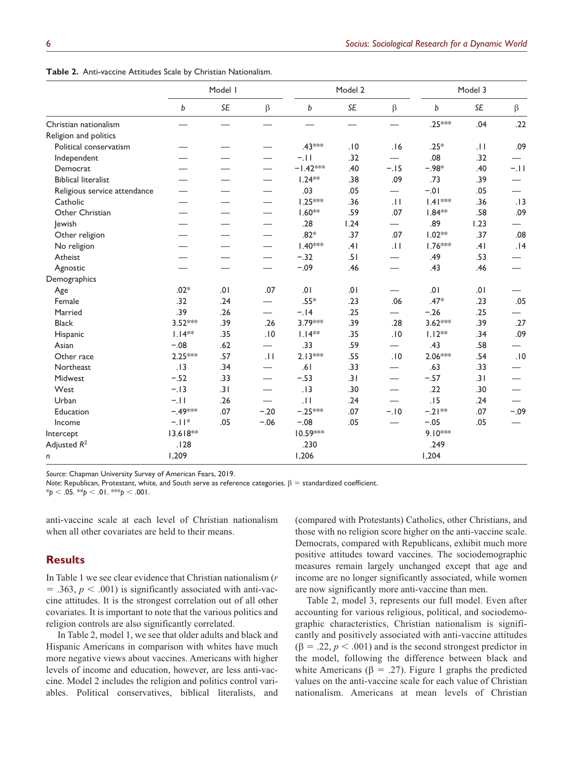|                              | Model I   |           |                               |            | Model 2 |                          | Model 3   |                 |         |
|------------------------------|-----------|-----------|-------------------------------|------------|---------|--------------------------|-----------|-----------------|---------|
|                              | b         | <b>SE</b> | $\beta$                       | b          | SE      | $\beta$                  | b         | SE              | $\beta$ |
| Christian nationalism        |           |           |                               |            |         |                          | .25 ***   | .04             | .22     |
| Religion and politics        |           |           |                               |            |         |                          |           |                 |         |
| Political conservatism       |           |           |                               | .43***     | .10     | .16                      | $.25*$    | $\overline{11}$ | .09     |
| Independent                  |           |           |                               | $-.11$     | .32     |                          | .08       | .32             |         |
| Democrat                     |           |           |                               | $-1.42***$ | .40     | $-.15$                   | $-.98*$   | .40             | $-11$   |
| <b>Biblical literalist</b>   |           |           |                               | $1.24**$   | .38     | .09                      | .73       | .39             |         |
| Religious service attendance |           |           |                               | .03        | .05     | $\overline{\phantom{0}}$ | $-0.01$   | .05             |         |
| Catholic                     |           |           |                               | $1.25***$  | .36     | .11                      | $1.41***$ | .36             | .13     |
| Other Christian              |           |           |                               | $1.60**$   | .59     | .07                      | $1.84**$  | .58             | .09     |
| Jewish                       |           |           |                               | .28        | 1.24    | $\equiv$                 | .89       | 1.23            |         |
| Other religion               |           |           |                               | $.82*$     | .37     | .07                      | $1.02**$  | .37             | .08     |
| No religion                  |           |           | $\overline{\phantom{0}}$      | $1.40***$  | .41     | .11                      | $1.76***$ | .41             | .14     |
| Atheist                      |           |           |                               | $-.32$     | .51     |                          | .49       | .53             |         |
| Agnostic                     |           |           |                               | $-.09$     | .46     |                          | .43       | .46             |         |
| Demographics                 |           |           |                               |            |         |                          |           |                 |         |
| Age                          | $.02*$    | .01       | .07                           | 10.        | .01     |                          | 10.       | .01             |         |
| Female                       | .32       | .24       |                               | $.55*$     | .23     | .06                      | $.47*$    | .23             | .05     |
| Married                      | .39       | .26       | $\overline{\phantom{0}}$      | $-.14$     | .25     |                          | $-.26$    | .25             |         |
| <b>Black</b>                 | $3.52***$ | .39       | .26                           | 3.79***    | .39     | .28                      | $3.62***$ | .39             | .27     |
| Hispanic                     | $1.14**$  | .35       | .10                           | $1.14**$   | .35     | .10                      | $1.12**$  | .34             | .09     |
| Asian                        | $-.08$    | .62       | $\overbrace{\phantom{aaaaa}}$ | .33        | .59     | $\overline{\phantom{0}}$ | .43       | .58             |         |
| Other race                   | $2.25***$ | .57       | .11                           | $2.13***$  | .55     | .10                      | 2.06***   | .54             | .10     |
| Northeast                    | .13       | .34       | $\overline{\phantom{0}}$      | .61        | .33     | $\overline{\phantom{0}}$ | .63       | .33             |         |
| Midwest                      | $-.52$    | .33       |                               | $-.53$     | .31     | $\overline{\phantom{0}}$ | $-.57$    | .31             |         |
| West                         | $-.13$    | .31       | $\overline{\phantom{0}}$      | .13        | .30     | $\overline{\phantom{0}}$ | .22       | .30             |         |
| Urban                        | $-.11$    | .26       |                               | .11        | .24     |                          | .15       | .24             |         |
| Education                    | $-.49***$ | .07       | $-.20$                        | $-.25***$  | .07     | $-.10$                   | $-.21**$  | .07             | $-.09$  |
| Income                       | $-.11*$   | .05       | $-.06$                        | $-.08$     | .05     |                          | $-.05$    | .05             |         |
| Intercept                    | 13.618**  |           |                               | 10.59***   |         |                          | $9.10***$ |                 |         |
| Adjusted $R^2$               | .128      |           |                               | .230       |         |                          | .249      |                 |         |
| n                            | 1,209     |           |                               | 1,206      |         |                          | 1,204     |                 |         |

**Table 2.** Anti-vaccine Attitudes Scale by Christian Nationalism.

*Source*: Chapman University Survey of American Fears, 2019.

*Note*: Republican, Protestant, white, and South serve as reference categories. β = standardized coefficient.

 $*_{p}$  < .05.  $*_{p}$  < .01.  $*_{p}$  < .001.

anti-vaccine scale at each level of Christian nationalism when all other covariates are held to their means.

## **Results**

In Table 1 we see clear evidence that Christian nationalism (*r*  $=$  .363,  $p < .001$ ) is significantly associated with anti-vaccine attitudes. It is the strongest correlation out of all other covariates. It is important to note that the various politics and religion controls are also significantly correlated.

In Table 2, model 1, we see that older adults and black and Hispanic Americans in comparison with whites have much more negative views about vaccines. Americans with higher levels of income and education, however, are less anti-vaccine. Model 2 includes the religion and politics control variables. Political conservatives, biblical literalists, and

(compared with Protestants) Catholics, other Christians, and those with no religion score higher on the anti-vaccine scale. Democrats, compared with Republicans, exhibit much more positive attitudes toward vaccines. The sociodemographic measures remain largely unchanged except that age and income are no longer significantly associated, while women are now significantly more anti-vaccine than men.

Table 2, model 3, represents our full model. Even after accounting for various religious, political, and sociodemographic characteristics, Christian nationalism is significantly and positively associated with anti-vaccine attitudes  $(\beta = .22, p < .001)$  and is the second strongest predictor in the model, following the difference between black and white Americans ( $\beta = .27$ ). Figure 1 graphs the predicted values on the anti-vaccine scale for each value of Christian nationalism. Americans at mean levels of Christian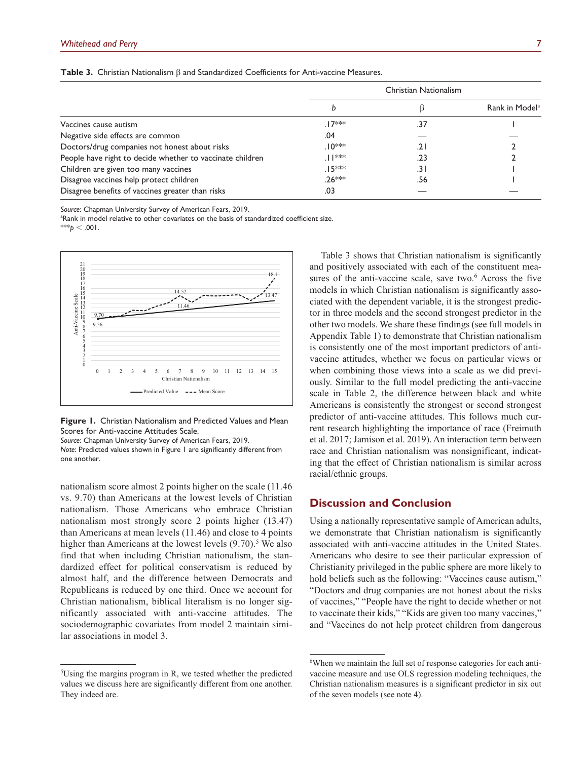|                                                           |          | Christian Nationalism |                            |
|-----------------------------------------------------------|----------|-----------------------|----------------------------|
|                                                           |          |                       | Rank in Model <sup>a</sup> |
| Vaccines cause autism                                     | $.17***$ | .37                   |                            |
| Negative side effects are common                          | .04      |                       |                            |
| Doctors/drug companies not honest about risks             | $10***$  | .21                   |                            |
| People have right to decide whether to vaccinate children | .  ***   | .23                   |                            |
| Children are given too many vaccines                      | .15***   | .31                   |                            |
| Disagree vaccines help protect children                   | $26***$  | .56                   |                            |
| Disagree benefits of vaccines greater than risks          | .03      |                       |                            |

**Table 3.** Christian Nationalism β and Standardized Coefficients for Anti-vaccine Measures.

*Source*: Chapman University Survey of American Fears, 2019.

<sup>a</sup>Rank in model relative to other covariates on the basis of standardized coefficient size.

\*\*\* $p < .001$ .



**Figure 1.** Christian Nationalism and Predicted Values and Mean Scores for Anti-vaccine Attitudes Scale.

*Source*: Chapman University Survey of American Fears, 2019. *Note*: Predicted values shown in Figure 1 are significantly different from one another.

nationalism score almost 2 points higher on the scale (11.46 vs. 9.70) than Americans at the lowest levels of Christian nationalism. Those Americans who embrace Christian nationalism most strongly score 2 points higher (13.47) than Americans at mean levels (11.46) and close to 4 points higher than Americans at the lowest levels  $(9.70)$ .<sup>5</sup> We also find that when including Christian nationalism, the standardized effect for political conservatism is reduced by almost half, and the difference between Democrats and Republicans is reduced by one third. Once we account for Christian nationalism, biblical literalism is no longer significantly associated with anti-vaccine attitudes. The sociodemographic covariates from model 2 maintain similar associations in model 3.

Table 3 shows that Christian nationalism is significantly and positively associated with each of the constituent measures of the anti-vaccine scale, save two.<sup>6</sup> Across the five models in which Christian nationalism is significantly associated with the dependent variable, it is the strongest predictor in three models and the second strongest predictor in the other two models. We share these findings (see full models in Appendix Table 1) to demonstrate that Christian nationalism is consistently one of the most important predictors of antivaccine attitudes, whether we focus on particular views or when combining those views into a scale as we did previously. Similar to the full model predicting the anti-vaccine scale in Table 2, the difference between black and white Americans is consistently the strongest or second strongest predictor of anti-vaccine attitudes. This follows much current research highlighting the importance of race (Freimuth et al. 2017; Jamison et al. 2019). An interaction term between race and Christian nationalism was nonsignificant, indicating that the effect of Christian nationalism is similar across racial/ethnic groups.

# **Discussion and Conclusion**

Using a nationally representative sample of American adults, we demonstrate that Christian nationalism is significantly associated with anti-vaccine attitudes in the United States. Americans who desire to see their particular expression of Christianity privileged in the public sphere are more likely to hold beliefs such as the following: "Vaccines cause autism," "Doctors and drug companies are not honest about the risks of vaccines," "People have the right to decide whether or not to vaccinate their kids," "Kids are given too many vaccines," and "Vaccines do not help protect children from dangerous

<sup>5</sup> Using the margins program in R, we tested whether the predicted values we discuss here are significantly different from one another. They indeed are.

<sup>6</sup> When we maintain the full set of response categories for each antivaccine measure and use OLS regression modeling techniques, the Christian nationalism measures is a significant predictor in six out of the seven models (see note 4).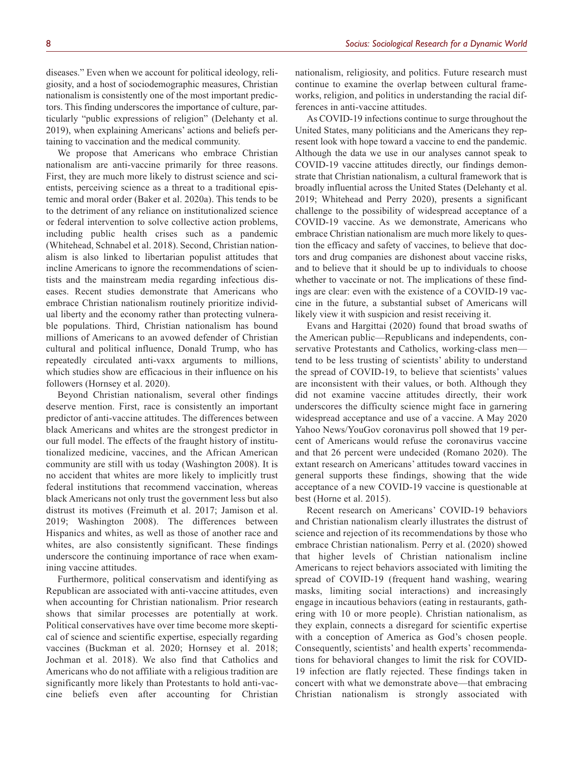diseases." Even when we account for political ideology, religiosity, and a host of sociodemographic measures, Christian nationalism is consistently one of the most important predictors. This finding underscores the importance of culture, particularly "public expressions of religion" (Delehanty et al. 2019), when explaining Americans' actions and beliefs pertaining to vaccination and the medical community.

We propose that Americans who embrace Christian nationalism are anti-vaccine primarily for three reasons. First, they are much more likely to distrust science and scientists, perceiving science as a threat to a traditional epistemic and moral order (Baker et al. 2020a). This tends to be to the detriment of any reliance on institutionalized science or federal intervention to solve collective action problems, including public health crises such as a pandemic (Whitehead, Schnabel et al. 2018). Second, Christian nationalism is also linked to libertarian populist attitudes that incline Americans to ignore the recommendations of scientists and the mainstream media regarding infectious diseases. Recent studies demonstrate that Americans who embrace Christian nationalism routinely prioritize individual liberty and the economy rather than protecting vulnerable populations. Third, Christian nationalism has bound millions of Americans to an avowed defender of Christian cultural and political influence, Donald Trump, who has repeatedly circulated anti-vaxx arguments to millions, which studies show are efficacious in their influence on his followers (Hornsey et al. 2020).

Beyond Christian nationalism, several other findings deserve mention. First, race is consistently an important predictor of anti-vaccine attitudes. The differences between black Americans and whites are the strongest predictor in our full model. The effects of the fraught history of institutionalized medicine, vaccines, and the African American community are still with us today (Washington 2008). It is no accident that whites are more likely to implicitly trust federal institutions that recommend vaccination, whereas black Americans not only trust the government less but also distrust its motives (Freimuth et al. 2017; Jamison et al. 2019; Washington 2008). The differences between Hispanics and whites, as well as those of another race and whites, are also consistently significant. These findings underscore the continuing importance of race when examining vaccine attitudes.

Furthermore, political conservatism and identifying as Republican are associated with anti-vaccine attitudes, even when accounting for Christian nationalism. Prior research shows that similar processes are potentially at work. Political conservatives have over time become more skeptical of science and scientific expertise, especially regarding vaccines (Buckman et al. 2020; Hornsey et al. 2018; Jochman et al. 2018). We also find that Catholics and Americans who do not affiliate with a religious tradition are significantly more likely than Protestants to hold anti-vaccine beliefs even after accounting for Christian

nationalism, religiosity, and politics. Future research must continue to examine the overlap between cultural frameworks, religion, and politics in understanding the racial differences in anti-vaccine attitudes.

As COVID-19 infections continue to surge throughout the United States, many politicians and the Americans they represent look with hope toward a vaccine to end the pandemic. Although the data we use in our analyses cannot speak to COVID-19 vaccine attitudes directly, our findings demonstrate that Christian nationalism, a cultural framework that is broadly influential across the United States (Delehanty et al. 2019; Whitehead and Perry 2020), presents a significant challenge to the possibility of widespread acceptance of a COVID-19 vaccine. As we demonstrate, Americans who embrace Christian nationalism are much more likely to question the efficacy and safety of vaccines, to believe that doctors and drug companies are dishonest about vaccine risks, and to believe that it should be up to individuals to choose whether to vaccinate or not. The implications of these findings are clear: even with the existence of a COVID-19 vaccine in the future, a substantial subset of Americans will likely view it with suspicion and resist receiving it.

Evans and Hargittai (2020) found that broad swaths of the American public—Republicans and independents, conservative Protestants and Catholics, working-class men tend to be less trusting of scientists' ability to understand the spread of COVID-19, to believe that scientists' values are inconsistent with their values, or both. Although they did not examine vaccine attitudes directly, their work underscores the difficulty science might face in garnering widespread acceptance and use of a vaccine. A May 2020 Yahoo News/YouGov coronavirus poll showed that 19 percent of Americans would refuse the coronavirus vaccine and that 26 percent were undecided (Romano 2020). The extant research on Americans' attitudes toward vaccines in general supports these findings, showing that the wide acceptance of a new COVID-19 vaccine is questionable at best (Horne et al. 2015).

Recent research on Americans' COVID-19 behaviors and Christian nationalism clearly illustrates the distrust of science and rejection of its recommendations by those who embrace Christian nationalism. Perry et al. (2020) showed that higher levels of Christian nationalism incline Americans to reject behaviors associated with limiting the spread of COVID-19 (frequent hand washing, wearing masks, limiting social interactions) and increasingly engage in incautious behaviors (eating in restaurants, gathering with 10 or more people). Christian nationalism, as they explain, connects a disregard for scientific expertise with a conception of America as God's chosen people. Consequently, scientists' and health experts' recommendations for behavioral changes to limit the risk for COVID-19 infection are flatly rejected. These findings taken in concert with what we demonstrate above—that embracing Christian nationalism is strongly associated with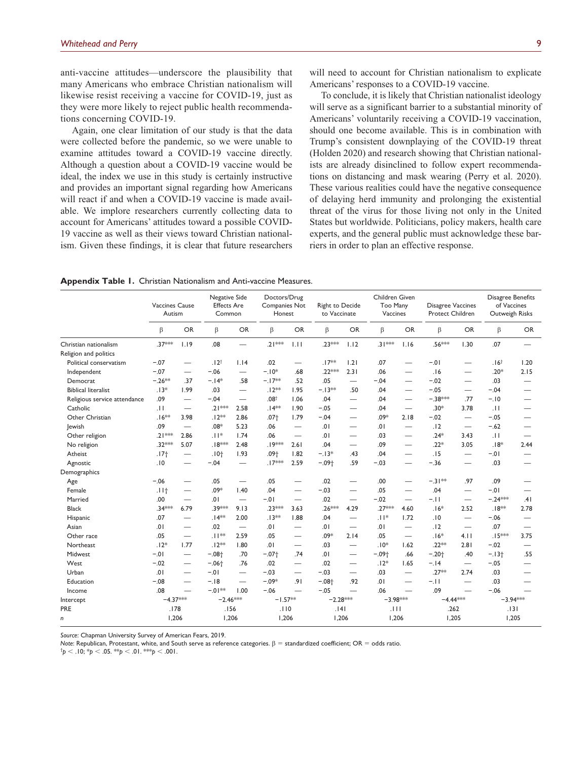anti-vaccine attitudes—underscore the plausibility that many Americans who embrace Christian nationalism will likewise resist receiving a vaccine for COVID-19, just as they were more likely to reject public health recommendations concerning COVID-19.

Again, one clear limitation of our study is that the data were collected before the pandemic, so we were unable to examine attitudes toward a COVID-19 vaccine directly. Although a question about a COVID-19 vaccine would be ideal, the index we use in this study is certainly instructive and provides an important signal regarding how Americans will react if and when a COVID-19 vaccine is made available. We implore researchers currently collecting data to account for Americans' attitudes toward a possible COVID-19 vaccine as well as their views toward Christian nationalism. Given these findings, it is clear that future researchers will need to account for Christian nationalism to explicate Americans' responses to a COVID-19 vaccine.

To conclude, it is likely that Christian nationalist ideology will serve as a significant barrier to a substantial minority of Americans' voluntarily receiving a COVID-19 vaccination, should one become available. This is in combination with Trump's consistent downplaying of the COVID-19 threat (Holden 2020) and research showing that Christian nationalists are already disinclined to follow expert recommendations on distancing and mask wearing (Perry et al. 2020). These various realities could have the negative consequence of delaying herd immunity and prolonging the existential threat of the virus for those living not only in the United States but worldwide. Politicians, policy makers, health care experts, and the general public must acknowledge these barriers in order to plan an effective response.

**Appendix Table 1.** Christian Nationalism and Anti-vaccine Measures.

|                              | Vaccines Cause<br>Autism |                                  | Negative Side<br><b>Effects Are</b><br>Common |                                  | Doctors/Drug<br>Companies Not<br>Honest |                          | Right to Decide<br>to Vaccinate |                          | Children Given<br>Too Many<br>Vaccines |                          | Disagree Vaccines<br>Protect Children |                                  | Disagree Benefits<br>of Vaccines<br>Outweigh Risks |                          |
|------------------------------|--------------------------|----------------------------------|-----------------------------------------------|----------------------------------|-----------------------------------------|--------------------------|---------------------------------|--------------------------|----------------------------------------|--------------------------|---------------------------------------|----------------------------------|----------------------------------------------------|--------------------------|
|                              | $\beta$                  | <b>OR</b>                        | $\beta$                                       | <b>OR</b>                        | β                                       | <b>OR</b>                | $\beta$                         | <b>OR</b>                | $\beta$                                | <b>OR</b>                | β                                     | <b>OR</b>                        | β                                                  | <b>OR</b>                |
| Christian nationalism        | .37***                   | 1.19                             | .08                                           | $\overline{\phantom{0}}$         | $.21***$                                | 1.11                     | $.23***$                        | 1.12                     | $.31***$                               | 1.16                     | .56***                                | 1.30                             | .07                                                |                          |
| Religion and politics        |                          |                                  |                                               |                                  |                                         |                          |                                 |                          |                                        |                          |                                       |                                  |                                                    |                          |
| Political conservatism       | $-.07$                   | $\overline{\phantom{0}}$         | .12 <sup>†</sup>                              | 1.14                             | .02                                     |                          | $.17**$                         | 1.21                     | .07                                    | $\overline{\phantom{0}}$ | $-.01$                                | $\overline{\phantom{0}}$         | .16 <sup>†</sup>                                   | 1.20                     |
| Independent                  | $-.07$                   |                                  | $-.06$                                        | $\overline{\phantom{0}}$         | $-.10*$                                 | .68                      | $.22***$                        | 2.31                     | .06                                    |                          | .16                                   | $\overline{\phantom{0}}$         | $.20*$                                             | 2.15                     |
| Democrat                     | $-.26**$                 | .37                              | $-.14*$                                       | .58                              | $-.17**$                                | .52                      | .05                             |                          | $-.04$                                 |                          | $-.02$                                | $\overline{\phantom{0}}$         | .03                                                |                          |
| <b>Biblical literalist</b>   | $.13*$                   | 1.99                             | .03                                           | $\overline{\phantom{0}}$         | $.12**$                                 | 1.95                     | $-.13**$                        | .50                      | .04                                    |                          | $-.05$                                | $\overline{\phantom{0}}$         | $-.04$                                             |                          |
| Religious service attendance | .09                      | $\overbrace{\phantom{12322111}}$ | $-.04$                                        | $\overline{\phantom{0}}$         | .08 <sup>†</sup>                        | 1.06                     | .04                             |                          | .04                                    | $\overline{\phantom{0}}$ | $-.38***$                             | .77                              | $-.10$                                             |                          |
| Catholic                     | .11                      | $\overline{\phantom{0}}$         | $.21***$                                      | 2.58                             | $.14**$                                 | 1.90                     | $-.05$                          | $\overline{\phantom{0}}$ | .04                                    | —                        | $.30*$                                | 3.78                             | $\pm 1$                                            |                          |
| Other Christian              | $.16**$                  | 3.98                             | $.12**$                                       | 2.86                             | .07 <sub>†</sub>                        | 1.79                     | $-.04$                          | $\overline{\phantom{0}}$ | $.09*$                                 | 2.18                     | $-.02$                                | $\overbrace{\phantom{12322111}}$ | $-.05$                                             |                          |
| lewish                       | .09                      | $\overline{\phantom{0}}$         | $.08*$                                        | 5.23                             | .06                                     |                          | .01                             |                          | .01                                    | $\overline{\phantom{0}}$ | .12                                   | $\overline{\phantom{0}}$         | $-.62$                                             |                          |
| Other religion               | $.21***$                 | 2.86                             | $11*$                                         | 1.74                             | .06                                     | $\overline{\phantom{0}}$ | .01                             |                          | .03                                    | $\overline{\phantom{0}}$ | $.24*$                                | 3.43                             | $\pm 1$                                            |                          |
| No religion                  | .32***                   | 5.07                             | $.18***$                                      | 2.48                             | .19 ***                                 | 2.61                     | .04                             | $\overline{\phantom{m}}$ | .09                                    | $\overline{\phantom{m}}$ | $.22*$                                | 3.05                             | $.18*$                                             | 2.44                     |
| Atheist                      | .17 <sub>†</sub>         | $\overbrace{\phantom{12322111}}$ | $.10+$                                        | 1.93                             | .09 <sub>†</sub>                        | 1.82                     | $-.13*$                         | .43                      | .04                                    | $\overline{\phantom{0}}$ | .15                                   | $\overline{\phantom{0}}$         | $-.01$                                             |                          |
| Agnostic                     | .10                      |                                  | $-.04$                                        |                                  | $.17***$                                | 2.59                     | $-.09+$                         | .59                      | $-.03$                                 | $\overline{\phantom{0}}$ | $-.36$                                |                                  | .03                                                |                          |
| Demographics                 |                          |                                  |                                               |                                  |                                         |                          |                                 |                          |                                        |                          |                                       |                                  |                                                    |                          |
| Age                          | $-.06$                   | $\overline{\phantom{m}}$         | .05                                           | $\overline{\phantom{0}}$         | .05                                     |                          | .02                             | $\overline{\phantom{m}}$ | .00                                    | $\overline{\phantom{0}}$ | $-.31**$                              | .97                              | .09                                                |                          |
| Female                       | .11 <sub>†</sub>         | $\overline{\phantom{m}}$         | .09*                                          | 1.40                             | .04                                     | $\overline{\phantom{0}}$ | $-.03$                          | $\overline{\phantom{0}}$ | .05                                    | $\overline{\phantom{0}}$ | .04                                   | $\overline{\phantom{0}}$         | $-0.01$                                            |                          |
| Married                      | .00                      | $\overline{\phantom{m}}$         | .01                                           | $\overline{\phantom{0}}$         | $-0.01$                                 | $\overline{\phantom{0}}$ | .02                             | $\overline{\phantom{0}}$ | $-.02$                                 | $\overline{\phantom{0}}$ | $-.11$                                | $\overline{\phantom{0}}$         | $-.24***$                                          | .41                      |
| <b>Black</b>                 | .34***                   | 6.79                             | .39***                                        | 9.13                             | .23 ***                                 | 3.63                     | .26***                          | 4.29                     | .27 ***                                | 4.60                     | $.16*$                                | 2.52                             | $.18**$                                            | 2.78                     |
| Hispanic                     | .07                      | $\overline{\phantom{m}}$         | $.14***$                                      | 2.00                             | $.13**$                                 | 1.88                     | .04                             |                          | $ 1*$                                  | 1.72                     | .10                                   | $\overline{\phantom{0}}$         | $-.06$                                             |                          |
| Asian                        | .01                      | $\overline{\phantom{m}}$         | .02                                           | $\overbrace{\phantom{12322111}}$ | .01                                     | $\overline{\phantom{0}}$ | .01                             | $\overline{\phantom{0}}$ | .01                                    | $\overline{\phantom{0}}$ | .12                                   | $\overline{\phantom{0}}$         | .07                                                |                          |
| Other race                   | .05                      | $\overline{\phantom{m}}$         | $.11**$                                       | 2.59                             | .05                                     |                          | $.09*$                          | 2.14                     | .05                                    | $\overline{\phantom{m}}$ | $.16*$                                | 4.11                             | $.15***$                                           | 3.75                     |
| Northeast                    | $.12*$                   | 1.77                             | $.12**$                                       | 1.80                             | .01                                     |                          | .03                             | $\overline{\phantom{m}}$ | $.10*$                                 | 1.62                     | $.22**$                               | 2.81                             | $-.02$                                             |                          |
| Midwest                      | $-.01$                   | $\overline{\phantom{m}}$         | $-.08+$                                       | .70                              | $-.07+$                                 | .74                      | .01                             |                          | $-.09†$                                | .66                      | $-.20+$                               | .40                              | $-.13+$                                            | .55                      |
| West                         | $-.02$                   | $\overline{\phantom{m}}$         | $-.06 +$                                      | .76                              | .02                                     |                          | .02                             |                          | $.12*$                                 | 1.65                     | $-.14$                                | $\overline{\phantom{0}}$         | $-.05$                                             | $\overline{\phantom{0}}$ |
| Urban                        | .01                      | $\overline{\phantom{m}}$         | $-.01$                                        |                                  | $-.03$                                  |                          | $-.03$                          |                          | .03                                    |                          | $.27**$                               | 2.74                             | .03                                                |                          |
| Education                    | $-.08$                   |                                  | $-.18$                                        | $\overbrace{\phantom{1232211}}$  | $-.09*$                                 | .91                      | $-.08 +$                        | .92                      | .01                                    | $\overline{\phantom{0}}$ | $-.11$                                |                                  | .03                                                |                          |
| Income                       | .08                      | $\overline{\phantom{0}}$         | $-01**$                                       | 1.00                             | $-.06$                                  | $\overline{\phantom{0}}$ | $-.05$                          | $\overline{\phantom{0}}$ | .06                                    | $\overline{\phantom{0}}$ | .09                                   | $\overline{\phantom{0}}$         | $-.06$                                             |                          |
| Intercept                    | $-4.37***$               |                                  | $-2.46***$                                    |                                  | $-1.57**$                               |                          | $-2.28***$                      |                          | $-3.98***$                             |                          | $-4.44***$                            |                                  | $-3.94***$                                         |                          |
| PRE                          | .178                     |                                  | .156                                          |                                  | .110                                    |                          | 4                               |                          | .111                                   |                          | .262                                  |                                  | .131                                               |                          |
| n                            | 1.206                    |                                  | 1,206                                         |                                  | 1.206                                   |                          | 1,206                           |                          | 1,206                                  |                          | 1.205                                 |                                  | 1,205                                              |                          |

*Source*: Chapman University Survey of American Fears, 2019.

*Note*: Republican, Protestant, white, and South serve as reference categories. β = standardized coefficient; OR = odds ratio.

† *p* < .10; \**p* < .05. \*\**p* < .01. \*\*\**p* < .001.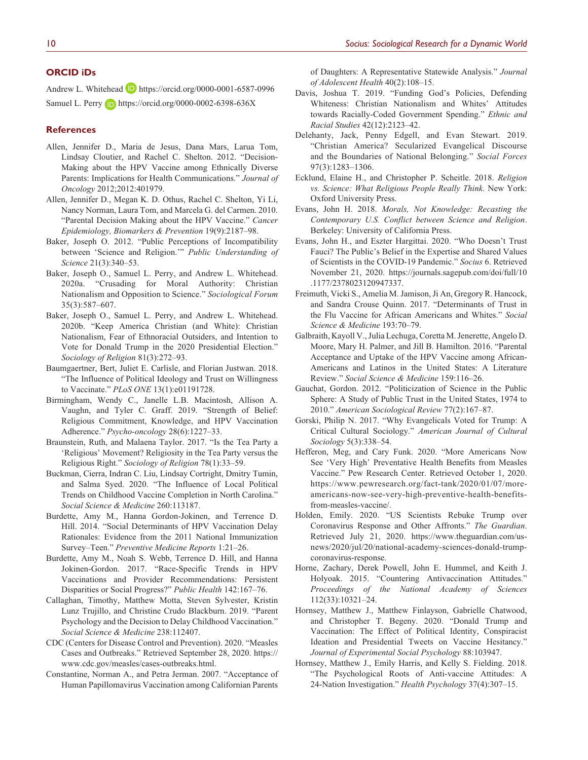#### **ORCID iDs**

Andrew L. Whitehead **D** <https://orcid.org/0000-0001-6587-0996> Samuel L. Perry **b** <https://orcid.org/0000-0002-6398-636X>

#### **References**

- Allen, Jennifer D., Maria de Jesus, Dana Mars, Larua Tom, Lindsay Cloutier, and Rachel C. Shelton. 2012. "Decision-Making about the HPV Vaccine among Ethnically Diverse Parents: Implications for Health Communications." *Journal of Oncology* 2012;2012:401979.
- Allen, Jennifer D., Megan K. D. Othus, Rachel C. Shelton, Yi Li, Nancy Norman, Laura Tom, and Marcela G. del Carmen. 2010. "Parental Decision Making about the HPV Vaccine." *Cancer Epidemiology, Biomarkers & Prevention* 19(9):2187–98.
- Baker, Joseph O. 2012. "Public Perceptions of Incompatibility between 'Science and Religion.'" *Public Understanding of Science* 21(3):340–53.
- Baker, Joseph O., Samuel L. Perry, and Andrew L. Whitehead. 2020a. "Crusading for Moral Authority: Christian Nationalism and Opposition to Science." *Sociological Forum* 35(3):587–607.
- Baker, Joseph O., Samuel L. Perry, and Andrew L. Whitehead. 2020b. "Keep America Christian (and White): Christian Nationalism, Fear of Ethnoracial Outsiders, and Intention to Vote for Donald Trump in the 2020 Presidential Election." *Sociology of Religion* 81(3):272–93.
- Baumgaertner, Bert, Juliet E. Carlisle, and Florian Justwan. 2018. "The Influence of Political Ideology and Trust on Willingness to Vaccinate." *PLoS ONE* 13(1):e01191728.
- Birmingham, Wendy C., Janelle L.B. Macintosh, Allison A. Vaughn, and Tyler C. Graff. 2019. "Strength of Belief: Religious Commitment, Knowledge, and HPV Vaccination Adherence." *Psycho-oncology* 28(6):1227–33.
- Braunstein, Ruth, and Malaena Taylor. 2017. "Is the Tea Party a 'Religious' Movement? Religiosity in the Tea Party versus the Religious Right." *Sociology of Religion* 78(1):33–59.
- Buckman, Cierra, Indran C. Liu, Lindsay Cortright, Dmitry Tumin, and Salma Syed. 2020. "The Influence of Local Political Trends on Childhood Vaccine Completion in North Carolina." *Social Science & Medicine* 260:113187.
- Burdette, Amy M., Hanna Gordon-Jokinen, and Terrence D. Hill. 2014. "Social Determinants of HPV Vaccination Delay Rationales: Evidence from the 2011 National Immunization Survey–Teen." *Preventive Medicine Reports* 1:21–26.
- Burdette, Amy M., Noah S. Webb, Terrence D. Hill, and Hanna Jokinen-Gordon. 2017. "Race-Specific Trends in HPV Vaccinations and Provider Recommendations: Persistent Disparities or Social Progress?" *Public Health* 142:167–76.
- Callaghan, Timothy, Matthew Motta, Steven Sylvester, Kristin Lunz Trujillo, and Christine Crudo Blackburn. 2019. "Parent Psychology and the Decision to Delay Childhood Vaccination." *Social Science & Medicine* 238:112407.
- CDC (Centers for Disease Control and Prevention). 2020. "Measles Cases and Outbreaks." Retrieved September 28, 2020. [https://](https://www.cdc.gov/measles/cases-outbreaks.html) [www.cdc.gov/measles/cases-outbreaks.html](https://www.cdc.gov/measles/cases-outbreaks.html).
- Constantine, Norman A., and Petra Jerman. 2007. "Acceptance of Human Papillomavirus Vaccination among Californian Parents

of Daughters: A Representative Statewide Analysis." *Journal of Adolescent Health* 40(2):108–15.

- Davis, Joshua T. 2019. "Funding God's Policies, Defending Whiteness: Christian Nationalism and Whites' Attitudes towards Racially-Coded Government Spending." *Ethnic and Racial Studies* 42(12):2123–42.
- Delehanty, Jack, Penny Edgell, and Evan Stewart. 2019. "Christian America? Secularized Evangelical Discourse and the Boundaries of National Belonging." *Social Forces* 97(3):1283–1306.
- Ecklund, Elaine H., and Christopher P. Scheitle. 2018. *Religion vs. Science: What Religious People Really Think*. New York: Oxford University Press.
- Evans, John H. 2018. *Morals, Not Knowledge: Recasting the Contemporary U.S. Conflict between Science and Religion*. Berkeley: University of California Press.
- Evans, John H., and Eszter Hargittai. 2020. "Who Doesn't Trust Fauci? The Public's Belief in the Expertise and Shared Values of Scientists in the COVID-19 Pandemic." *Socius* 6. Retrieved November 21, 2020. [https://journals.sagepub.com/doi/full/10](https://journals.sagepub.com/doi/full/10.1177/2378023120947337) [.1177/2378023120947337](https://journals.sagepub.com/doi/full/10.1177/2378023120947337).
- Freimuth, Vicki S., Amelia M. Jamison, Ji An, Gregory R. Hancock, and Sandra Crouse Quinn. 2017. "Determinants of Trust in the Flu Vaccine for African Americans and Whites." *Social Science & Medicine* 193:70–79.
- Galbraith, Kayoll V., Julia Lechuga, Coretta M. Jenerette, Angelo D. Moore, Mary H. Palmer, and Jill B. Hamilton. 2016. "Parental Acceptance and Uptake of the HPV Vaccine among African-Americans and Latinos in the United States: A Literature Review." *Social Science & Medicine* 159:116–26.
- Gauchat, Gordon. 2012. "Politicization of Science in the Public Sphere: A Study of Public Trust in the United States, 1974 to 2010." *American Sociological Review* 77(2):167–87.
- Gorski, Philip N. 2017. "Why Evangelicals Voted for Trump: A Critical Cultural Sociology." *American Journal of Cultural Sociology* 5(3):338–54.
- Hefferon, Meg, and Cary Funk. 2020. "More Americans Now See 'Very High' Preventative Health Benefits from Measles Vaccine." Pew Research Center. Retrieved October 1, 2020. [https://www.pewresearch.org/fact-tank/2020/01/07/more](https://www.pewresearch.org/fact-tank/2020/01/07/more-americans-now-see-very-high-preventive-health-benefits-from-measles-vaccine/)[americans-now-see-very-high-preventive-health-benefits](https://www.pewresearch.org/fact-tank/2020/01/07/more-americans-now-see-very-high-preventive-health-benefits-from-measles-vaccine/)[from-measles-vaccine/](https://www.pewresearch.org/fact-tank/2020/01/07/more-americans-now-see-very-high-preventive-health-benefits-from-measles-vaccine/).
- Holden, Emily. 2020. "US Scientists Rebuke Trump over Coronavirus Response and Other Affronts." *The Guardian*. Retrieved July 21, 2020. [https://www.theguardian.com/us](https://www.theguardian.com/us-news/2020/jul/20/national-academy-sciences-donald-trump-coronavirus-response)[news/2020/jul/20/national-academy-sciences-donald-trump](https://www.theguardian.com/us-news/2020/jul/20/national-academy-sciences-donald-trump-coronavirus-response)[coronavirus-response](https://www.theguardian.com/us-news/2020/jul/20/national-academy-sciences-donald-trump-coronavirus-response).
- Horne, Zachary, Derek Powell, John E. Hummel, and Keith J. Holyoak. 2015. "Countering Antivaccination Attitudes." *Proceedings of the National Academy of Sciences* 112(33):10321–24.
- Hornsey, Matthew J., Matthew Finlayson, Gabrielle Chatwood, and Christopher T. Begeny. 2020. "Donald Trump and Vaccination: The Effect of Political Identity, Conspiracist Ideation and Presidential Tweets on Vaccine Hesitancy." *Journal of Experimental Social Psychology* 88:103947.
- Hornsey, Matthew J., Emily Harris, and Kelly S. Fielding. 2018. "The Psychological Roots of Anti-vaccine Attitudes: A 24-Nation Investigation." *Health Psychology* 37(4):307–15.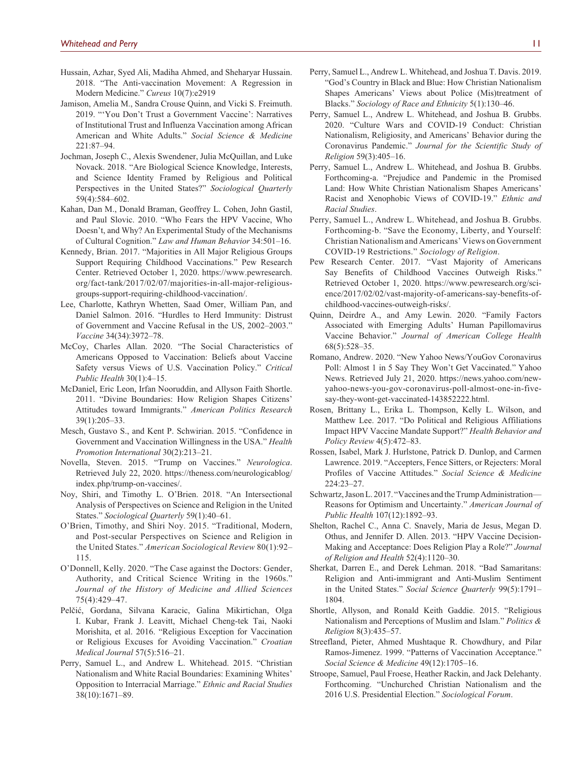- Hussain, Azhar, Syed Ali, Madiha Ahmed, and Sheharyar Hussain. 2018. "The Anti-vaccination Movement: A Regression in Modern Medicine." *Cureus* 10(7):e2919
- Jamison, Amelia M., Sandra Crouse Quinn, and Vicki S. Freimuth. 2019. "'You Don't Trust a Government Vaccine': Narratives of Institutional Trust and Influenza Vaccination among African American and White Adults." *Social Science & Medicine* 221:87–94.
- Jochman, Joseph C., Alexis Swendener, Julia McQuillan, and Luke Novack. 2018. "Are Biological Science Knowledge, Interests, and Science Identity Framed by Religious and Political Perspectives in the United States?" *Sociological Quarterly* 59(4):584–602.
- Kahan, Dan M., Donald Braman, Geoffrey L. Cohen, John Gastil, and Paul Slovic. 2010. "Who Fears the HPV Vaccine, Who Doesn't, and Why? An Experimental Study of the Mechanisms of Cultural Cognition." *Law and Human Behavior* 34:501–16.
- Kennedy, Brian. 2017. "Majorities in All Major Religious Groups Support Requiring Childhood Vaccinations." Pew Research Center. Retrieved October 1, 2020. [https://www.pewresearch.](https://www.pewresearch.org/fact-tank/2017/02/07/majorities-in-all-major-religious-groups-support-requiring-childhood-vaccination/) [org/fact-tank/2017/02/07/majorities-in-all-major-religious](https://www.pewresearch.org/fact-tank/2017/02/07/majorities-in-all-major-religious-groups-support-requiring-childhood-vaccination/)[groups-support-requiring-childhood-vaccination/](https://www.pewresearch.org/fact-tank/2017/02/07/majorities-in-all-major-religious-groups-support-requiring-childhood-vaccination/).
- Lee, Charlotte, Kathryn Whetten, Saad Omer, William Pan, and Daniel Salmon. 2016. "Hurdles to Herd Immunity: Distrust of Government and Vaccine Refusal in the US, 2002–2003." *Vaccine* 34(34):3972–78.
- McCoy, Charles Allan. 2020. "The Social Characteristics of Americans Opposed to Vaccination: Beliefs about Vaccine Safety versus Views of U.S. Vaccination Policy." *Critical Public Health* 30(1):4–15.
- McDaniel, Eric Leon, Irfan Nooruddin, and Allyson Faith Shortle. 2011. "Divine Boundaries: How Religion Shapes Citizens' Attitudes toward Immigrants." *American Politics Research* 39(1):205–33.
- Mesch, Gustavo S., and Kent P. Schwirian. 2015. "Confidence in Government and Vaccination Willingness in the USA." *Health Promotion International* 30(2):213–21.
- Novella, Steven. 2015. "Trump on Vaccines." *Neurologica*. Retrieved July 22, 2020. [https://theness.com/neurologicablog/](https://theness.com/neurologicablog/index.php/trump-on-vaccines/) [index.php/trump-on-vaccines/](https://theness.com/neurologicablog/index.php/trump-on-vaccines/).
- Noy, Shiri, and Timothy L. O'Brien. 2018. "An Intersectional Analysis of Perspectives on Science and Religion in the United States." *Sociological Quarterly* 59(1):40–61.
- O'Brien, Timothy, and Shiri Noy. 2015. "Traditional, Modern, and Post-secular Perspectives on Science and Religion in the United States." *American Sociological Review* 80(1):92– 115.
- O'Donnell, Kelly. 2020. "The Case against the Doctors: Gender, Authority, and Critical Science Writing in the 1960s." *Journal of the History of Medicine and Allied Sciences* 75(4):429–47.
- Pelčić, Gordana, Silvana Karacic, Galina Mikirtichan, Olga I. Kubar, Frank J. Leavitt, Michael Cheng-tek Tai, Naoki Morishita, et al. 2016. "Religious Exception for Vaccination or Religious Excuses for Avoiding Vaccination." *Croatian Medical Journal* 57(5):516–21.
- Perry, Samuel L., and Andrew L. Whitehead. 2015. "Christian Nationalism and White Racial Boundaries: Examining Whites' Opposition to Interracial Marriage." *Ethnic and Racial Studies* 38(10):1671–89.
- Perry, Samuel L., Andrew L. Whitehead, and Joshua T. Davis. 2019. "God's Country in Black and Blue: How Christian Nationalism Shapes Americans' Views about Police (Mis)treatment of Blacks." *Sociology of Race and Ethnicity* 5(1):130–46.
- Perry, Samuel L., Andrew L. Whitehead, and Joshua B. Grubbs. 2020. "Culture Wars and COVID-19 Conduct: Christian Nationalism, Religiosity, and Americans' Behavior during the Coronavirus Pandemic." *Journal for the Scientific Study of Religion* 59(3):405–16.
- Perry, Samuel L., Andrew L. Whitehead, and Joshua B. Grubbs. Forthcoming-a. "Prejudice and Pandemic in the Promised Land: How White Christian Nationalism Shapes Americans' Racist and Xenophobic Views of COVID-19." *Ethnic and Racial Studies*.
- Perry, Samuel L., Andrew L. Whitehead, and Joshua B. Grubbs. Forthcoming-b. "Save the Economy, Liberty, and Yourself: Christian Nationalism and Americans' Views on Government COVID-19 Restrictions." *Sociology of Religion*.
- Pew Research Center. 2017. "Vast Majority of Americans Say Benefits of Childhood Vaccines Outweigh Risks." Retrieved October 1, 2020. [https://www.pewresearch.org/sci](https://www.pewresearch.org/science/2017/02/02/vast-majority-of-americans-say-benefits-of-childhood-vaccines-outweigh-risks/)[ence/2017/02/02/vast-majority-of-americans-say-benefits-of](https://www.pewresearch.org/science/2017/02/02/vast-majority-of-americans-say-benefits-of-childhood-vaccines-outweigh-risks/)[childhood-vaccines-outweigh-risks/](https://www.pewresearch.org/science/2017/02/02/vast-majority-of-americans-say-benefits-of-childhood-vaccines-outweigh-risks/).
- Quinn, Deirdre A., and Amy Lewin. 2020. "Family Factors Associated with Emerging Adults' Human Papillomavirus Vaccine Behavior." *Journal of American College Health* 68(5):528–35.
- Romano, Andrew. 2020. "New Yahoo News/YouGov Coronavirus Poll: Almost 1 in 5 Say They Won't Get Vaccinated." Yahoo News. Retrieved July 21, 2020. [https://news.yahoo.com/new](https://news.yahoo.com/new-yahoo-news-you-gov-coronavirus-poll-almost-one-in-five-say-they-wont-get-vaccinated-143852222.html)[yahoo-news-you-gov-coronavirus-poll-almost-one-in-five](https://news.yahoo.com/new-yahoo-news-you-gov-coronavirus-poll-almost-one-in-five-say-they-wont-get-vaccinated-143852222.html)[say-they-wont-get-vaccinated-143852222.html.](https://news.yahoo.com/new-yahoo-news-you-gov-coronavirus-poll-almost-one-in-five-say-they-wont-get-vaccinated-143852222.html)
- Rosen, Brittany L., Erika L. Thompson, Kelly L. Wilson, and Matthew Lee. 2017. "Do Political and Religious Affiliations Impact HPV Vaccine Mandate Support?" *Health Behavior and Policy Review* 4(5):472–83.
- Rossen, Isabel, Mark J. Hurlstone, Patrick D. Dunlop, and Carmen Lawrence. 2019. "Accepters, Fence Sitters, or Rejecters: Moral Profiles of Vaccine Attitudes." *Social Science & Medicine* 224:23–27.
- Schwartz, Jason L. 2017. "Vaccines and the Trump Administration— Reasons for Optimism and Uncertainty." *American Journal of Public Health* 107(12):1892–93.
- Shelton, Rachel C., Anna C. Snavely, Maria de Jesus, Megan D. Othus, and Jennifer D. Allen. 2013. "HPV Vaccine Decision-Making and Acceptance: Does Religion Play a Role?" *Journal of Religion and Health* 52(4):1120–30.
- Sherkat, Darren E., and Derek Lehman. 2018. "Bad Samaritans: Religion and Anti-immigrant and Anti-Muslim Sentiment in the United States." *Social Science Quarterly* 99(5):1791– 1804.
- Shortle, Allyson, and Ronald Keith Gaddie. 2015. "Religious Nationalism and Perceptions of Muslim and Islam." *Politics & Religion* 8(3):435–57.
- Streefland, Pieter, Ahmed Mushtaque R. Chowdhury, and Pilar Ramos-Jimenez. 1999. "Patterns of Vaccination Acceptance." *Social Science & Medicine* 49(12):1705–16.
- Stroope, Samuel, Paul Froese, Heather Rackin, and Jack Delehanty. Forthcoming. "Unchurched Christian Nationalism and the 2016 U.S. Presidential Election." *Sociological Forum*.